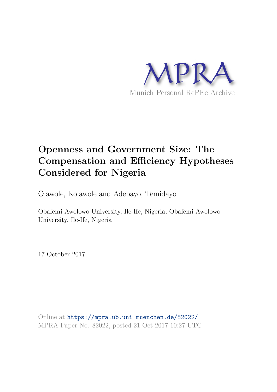

# **Openness and Government Size: The Compensation and Efficiency Hypotheses Considered for Nigeria**

Olawole, Kolawole and Adebayo, Temidayo

Obafemi Awolowo University, Ile-Ife, Nigeria, Obafemi Awolowo University, Ile-Ife, Nigeria

17 October 2017

Online at https://mpra.ub.uni-muenchen.de/82022/ MPRA Paper No. 82022, posted 21 Oct 2017 10:27 UTC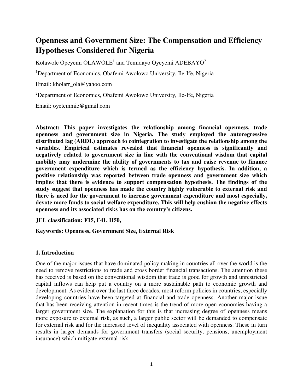# **Openness and Government Size: The Compensation and Efficiency Hypotheses Considered for Nigeria**

Kolawole Opeyemi OLAWOLE<sup>1</sup> and Temidayo Oyeyemi ADEBAYO<sup>2</sup>

<sup>1</sup>Department of Economics, Obafemi Awolowo University, Ile-Ife, Nigeria

Email: kholarr\_ola@yahoo.com

<sup>2</sup>Department of Economics, Obafemi Awolowo University, Ile-Ife, Nigeria

Email: oyetemmie@gmail.com

**Abstract: This paper investigates the relationship among financial openness, trade openness and government size in Nigeria. The study employed the autoregressive distributed lag (ARDL) approach to cointegration to investigate the relationship among the variables. Empirical estimates revealed that financial openness is significantly and negatively related to government size in line with the conventional wisdom that capital mobility may undermine the ability of governments to tax and raise revenue to finance government expenditure which is termed as the efficiency hypothesis. In addition, a positive relationship was reported between trade openness and government size which implies that there is evidence to support compensation hypothesis. The findings of the study suggest that openness has made the country highly vulnerable to external risk and there is need for the government to increase government expenditure and most especially, devote more funds to social welfare expenditure. This will help cushion the negative effects openness and its associated risks has on the country's citizens.** 

**JEL classification: F15, F41, H50,** 

**Keywords: Openness, Government Size, External Risk** 

# **1. Introduction**

One of the major issues that have dominated policy making in countries all over the world is the need to remove restrictions to trade and cross border financial transactions. The attention these has received is based on the conventional wisdom that trade is good for growth and unrestricted capital inflows can help put a country on a more sustainable path to economic growth and development. As evident over the last three decades, most reform policies in countries, especially developing countries have been targeted at financial and trade openness. Another major issue that has been receiving attention in recent times is the trend of more open economies having a larger government size. The explanation for this is that increasing degree of openness means more exposure to external risk, as such, a larger public sector will be demanded to compensate for external risk and for the increased level of inequality associated with openness. These in turn results in larger demands for government transfers (social security, pensions, unemployment insurance) which mitigate external risk.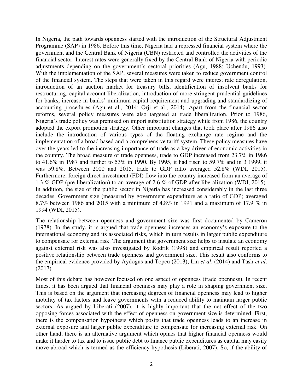In Nigeria, the path towards openness started with the introduction of the Structural Adjustment Programme (SAP) in 1986. Before this time, Nigeria had a repressed financial system where the government and the Central Bank of Nigeria (CBN) restricted and controlled the activities of the financial sector. Interest rates were generally fixed by the Central Bank of Nigeria with periodic adjustments depending on the government's sectoral priorities (Agu, 1988; Uchendu, 1993). With the implementation of the SAP, several measures were taken to reduce government control of the financial system. The steps that were taken in this regard were interest rate deregulation, introduction of an auction market for treasury bills, identification of insolvent banks for restructuring, capital account liberalization, introduction of more stringent prudential guidelines for banks, increase in banks' minimum capital requirement and upgrading and standardizing of accounting procedures (Agu et al., 2014; Orji et al., 2014). Apart from the financial sector reforms, several policy measures were also targeted at trade liberalization. Prior to 1986, Nigeria's trade policy was premised on import substitution strategy while from 1986, the country adopted the export promotion strategy. Other important changes that took place after 1986 also include the introduction of various types of the floating exchange rate regime and the implementation of a broad based and a comprehensive tariff system. These policy measures have over the years led to the increasing importance of trade as a key driver of economic activities in the country. The broad measure of trade openness, trade to GDP increased from 23.7% in 1986 to 41.6% in 1987 and further to 53% in 1990. By 1995, it had risen to 59.7% and in 3 1999, it was 59.8%. Between 2000 and 2015, trade to GDP ratio averaged 52.8% (WDI, 2015). Furthermore, foreign direct investment (FDI) flow into the country increased from an average of 1.3 % GDP (pre-liberalization) to an average of 2.6 % of GDP after liberalization (WDI, 2015). In addition, the size of the public sector in Nigeria has increased considerably in the last three decades. Government size (measured by government expenditure as a ratio of GDP) averaged 8.7% between 1986 and 2015 with a minimum of 4.8% in 1991 and a maximum of 17.9 % in 1994 (WDI, 2015).

The relationship between openness and government size was first documented by Cameron (1978). In the study, it is argued that trade openness increases an economy's exposure to the international economy and its associated risks, which in turn results in larger public expenditure to compensate for external risk. The argument that government size helps to insulate an economy against external risk was also investigated by Rodrik (1998) and empirical result reported a positive relationship between trade openness and government size. This result also conforms to the empirical evidence provided by Aydogus and Topcu (2013), Lin *et al*. (2014) and Tash *et al*. (2017).

Most of this debate has however focused on one aspect of openness (trade openness). In recent times, it has been argued that financial openness may play a role in shaping government size. This is based on the argument that increasing degrees of financial openness may lead to higher mobility of tax factors and leave governments with a reduced ability to maintain larger public sectors. As argued by Liberati (2007), it is highly important that the net effect of the two opposing forces associated with the effect of openness on government size is determined. First, there is the compensation hypothesis which posits that trade openness leads to an increase in external exposure and larger public expenditure to compensate for increasing external risk. On other hand, there is an alternative argument which opines that higher financial openness would make it harder to tax and to issue public debt to finance public expenditures as capital may easily move abroad which is termed as the efficiency hypothesis (Liberati, 2007). So, if the ability of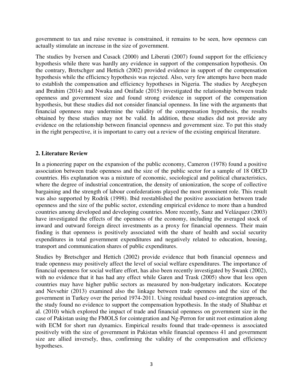government to tax and raise revenue is constrained, it remains to be seen, how openness can actually stimulate an increase in the size of government.

The studies by Iversen and Cusack (2000) and Liberati (2007) found support for the efficiency hypothesis while there was hardly any evidence in support of the compensation hypothesis. On the contrary, Bretschger and Hettich (2002) provided evidence in support of the compensation hypothesis while the efficiency hypothesis was rejected. Also, very few attempts have been made to establish the compensation and efficiency hypotheses in Nigeria. The studies by Aregbeyen and Ibrahim (2014) and Nwaka and Onifade (2015) investigated the relationship between trade openness and government size and found strong evidence in support of the compensation hypothesis, but these studies did not consider financial openness. In line with the arguments that financial openness may undermine the validity of the compensation hypothesis, the results obtained by these studies may not be valid. In addition, these studies did not provide any evidence on the relationship between financial openness and government size. To put this study in the right perspective, it is important to carry out a review of the existing empirical literature.

# **2. Literature Review**

In a pioneering paper on the expansion of the public economy, Cameron (1978) found a positive association between trade openness and the size of the public sector for a sample of 18 OECD countries. His explanation was a mixture of economic, sociological and political characteristics, where the degree of industrial concentration, the density of unionization, the scope of collective bargaining and the strength of labour confederations played the most prominent role. This result was also supported by Rodrik (1998). Ibid reestablished the positive association between trade openness and the size of the public sector, extending empirical evidence to more than a hundred countries among developed and developing countries. More recently, Sanz and Velázquez (2003) have investigated the effects of the openness of the economy, including the averaged stock of inward and outward foreign direct investments as a proxy for financial openness. Their main finding is that openness is positively associated with the share of health and social security expenditures in total government expenditures and negatively related to education, housing, transport and communication shares of public expenditures.

Studies by Bretschger and Hettich (2002) provide evidence that both financial openness and trade openness may positively affect the level of social welfare expenditures. The importance of financial openness for social welfare effort, has also been recently investigated by Swank (2002), with no evidence that it has had any effect while Garen and Trask (2005) show that less open countries may have higher public sectors as measured by non-budgetary indicators. Kocatepe and Nevsehir (2013) examined also the linkage between trade openness and the size of the government in Turkey over the period 1974-2011. Using residual based co-integration approach, the study found no evidence to support the compensation hypothesis. In the study of Shahbaz et al. (2010) which explored the impact of trade and financial openness on government size in the case of Pakistan using the FMOLS for cointegration and Ng-Perron for unit root estimation along with ECM for short run dynamics. Empirical results found that trade-openness is associated positively with the size of government in Pakistan while financial openness 41 and government size are allied inversely, thus, confirming the validity of the compensation and efficiency hypotheses.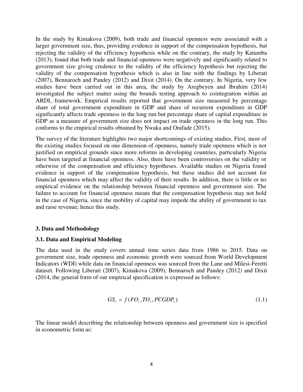In the study by Kimakova (2009), both trade and financial openness were associated with a larger government size, thus, providing evidence in support of the compensation hypothesis, but rejecting the validity of the efficiency hypothesis while on the contrary, the study by Katumba (2013), found that both trade and financial openness were negatively and significantly related to government size giving credence to the validity of the efficiency hypothesis but rejecting the validity of the compensation hypothesis which is also in line with the findings by Liberati (2007), Bennaroch and Pandey (2012) and Dixit (2014). On the contrary, In Nigeria, very few studies have been carried out in this area, the study by Aregbeyen and Ibrahim (2014) investigated the subject matter using the bounds testing approach to cointegration within an ARDL framework. Empirical results reported that government size measured by percentage share of total government expenditure in GDP and share of recurrent expenditure in GDP significantly affects trade openness in the long run but percentage share of capital expenditure in GDP as a measure of government size does not impact on trade openness in the long run. This conforms to the empirical results obtained by Nwaka and Onifade (2015).

The survey of the literature highlights two major shortcomings of existing studies. First, most of the existing studies focused on one dimension of openness, namely trade openness which is not justified on empirical grounds since more reforms in developing countries, particularly Nigeria have been targeted at financial openness. Also, there have been controversies on the validity or otherwise of the compensation and efficiency hypotheses. Available studies on Nigeria found evidence in support of the compensation hypothesis, but these studies did not account for financial openness which may affect the validity of their results. In addition, there is little or no empirical evidence on the relationship between financial openness and government size. The failure to account for financial openness means that the compensation hypothesis may not hold in the case of Nigeria, since the mobility of capital may impede the ability of government to tax and raise revenue; hence this study.

# **3. Data and Methodology**

# **3.1. Data and Empirical Modeling**

The data used in the study covers annual time series data from 1986 to 2015. Data on government size, trade openness and economic growth were sourced from World Development Indicators (WDI) while data on financial openness was sourced from the Lane and Milesi-Feretti dataset. Following Liberati (2007), Kimakova (2009), Bennaroch and Pandey (2012) and Dixit (2014, the general form of our empirical specification is expressed as follows:

$$
GS_t = f(FO_t, TO_t, PCGDP_t) \tag{1.1}
$$

The linear model describing the relationship between openness and government size is specified in econometric form as: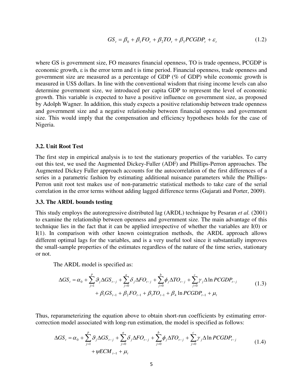$$
GS_t = \beta_0 + \beta_1 FO_t + \beta_2 TO_t + \beta_3 PCGDP_t + \varepsilon_t
$$
\n(1.2)

where GS is government size, FO measures financial openness, TO is trade openness, PCGDP is economic growth,  $\varepsilon$  is the error term and t is time period. Financial openness, trade openness and government size are measured as a percentage of GDP (% of GDP) while economic growth is measured in US\$ dollars. In line with the conventional wisdom that rising income levels can also determine government size, we introduced per capita GDP to represent the level of economic growth. This variable is expected to have a positive influence on government size, as proposed by Adolph Wagner. In addition, this study expects a positive relationship between trade openness and government size and a negative relationship between financial openness and government size. This would imply that the compensation and efficiency hypotheses holds for the case of Nigeria.

#### **3.2. Unit Root Test**

The first step in empirical analysis is to test the stationary properties of the variables. To carry out this test, we used the Augmented Dickey-Fuller (ADF) and Phillips-Perron approaches. The Augmented Dickey Fuller approach accounts for the autocorrelation of the first differences of a series in a parametric fashion by estimating additional nuisance parameters while the Phillips-Perron unit root test makes use of non-parametric statistical methods to take care of the serial correlation in the error terms without adding lagged difference terms (Gujarati and Porter, 2009).

#### **3.3. The ARDL bounds testing**

This study employs the autoregressive distributed lag (ARDL) technique by Pesaran *et al.* (2001) to examine the relationship between openness and government size. The main advantage of this technique lies in the fact that it can be applied irrespective of whether the variables are I(0) or I(1). In comparison with other known cointegration methods, the ARDL approach allows different optimal lags for the variables, and is a very useful tool since it substantially improves the small-sample properties of the estimates regardless of the nature of the time series, stationary or not.

The ARDL model is specified as:

$$
\Delta GS_{t} = \alpha_{0} + \sum_{j=1}^{p} \mathcal{G}_{j} \Delta GS_{t-j} + \sum_{j=0}^{a} \delta_{j} \Delta FO_{t-j} + \sum_{j=0}^{b} \phi_{j} \Delta TO_{t-j} + \sum_{j=0}^{c} \gamma_{j} \Delta \ln PCGDP_{t-j} + \beta_{1} GS_{t-1} + \beta_{2} FO_{t-1} + \beta_{3} TO_{t-1} + \beta_{4} \ln PCGDP_{t-1} + \mu_{t}
$$
\n(1.3)

Thus, reparameterizing the equation above to obtain short-run coefficients by estimating errorcorrection model associated with long-run estimation, the model is specified as follows:

$$
\Delta GS_t = \alpha_0 + \sum_{j=1}^p \mathcal{G}_j \Delta GS_{t-j} + \sum_{j=0}^a \delta_j \Delta FO_{t-j} + \sum_{j=0}^b \phi_j \Delta TO_{t-j} + \sum_{j=0}^c \gamma_j \Delta \ln PCGDP_{t-j} + \psi ECM_{t-1} + \mu_t
$$
\n(1.4)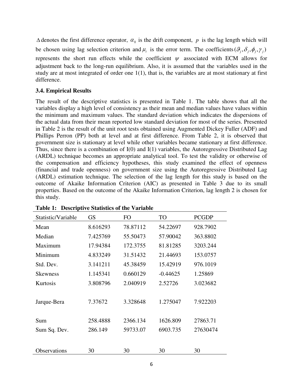$\Delta$  denotes the first difference operator,  $\alpha_0$  is the drift component, p is the lag length which will be chosen using lag selection criterion and  $\mu$  is the error term. The coefficients  $(\theta_j, \delta_j, \phi_j, \gamma_j)$ represents the short run effects while the coefficient  $\psi$  associated with ECM allows for adjustment back to the long-run equilibrium. Also, it is assumed that the variables used in the study are at most integrated of order one 1(1), that is, the variables are at most stationary at first difference.

# **3.4. Empirical Results**

The result of the descriptive statistics is presented in Table 1. The table shows that all the variables display a high level of consistency as their mean and median values have values within the minimum and maximum values. The standard deviation which indicates the dispersions of the actual data from their mean reported low standard deviation for most of the series. Presented in Table 2 is the result of the unit root tests obtained using Augmented Dickey Fuller (ADF) and Phillips Perron (PP) both at level and at first difference. From Table 2, it is observed that government size is stationary at level while other variables became stationary at first difference. Thus, since there is a combination of I(0) and I(1) variables, the Autoregressive Distributed Lag (ARDL) technique becomes an appropriate analytical tool. To test the validity or otherwise of the compensation and efficiency hypotheses, this study examined the effect of openness (financial and trade openness) on government size using the Autoregressive Distributed Lag (ARDL) estimation technique. The selection of the lag length for this study is based on the outcome of Akaike Information Criterion (AIC) as presented in Table 3 due to its small properties. Based on the outcome of the Akaike Information Criterion, lag length 2 is chosen for this study.

| Statistic/Variable  | <b>GS</b> | FO       | <b>TO</b>  | <b>PCGDP</b> |
|---------------------|-----------|----------|------------|--------------|
| Mean                | 8.616293  | 78.87112 | 54.22697   | 928.7902     |
| Median              | 7.425769  | 55.50473 | 57.90042   | 363.8802     |
| Maximum             | 17.94384  | 172.3755 | 81.81285   | 3203.244     |
| Minimum             | 4.833249  | 31.51432 | 21.44693   | 153.0757     |
| Std. Dev.           | 3.141211  | 45.38459 | 15.42919   | 976.1019     |
| <b>Skewness</b>     | 1.145341  | 0.660129 | $-0.44625$ | 1.25869      |
| Kurtosis            | 3.808796  | 2.040919 | 2.52726    | 3.023682     |
|                     |           |          |            |              |
| Jarque-Bera         | 7.37672   | 3.328648 | 1.275047   | 7.922203     |
|                     |           |          |            |              |
| Sum                 | 258.4888  | 2366.134 | 1626.809   | 27863.71     |
| Sum Sq. Dev.        | 286.149   | 59733.07 | 6903.735   | 27630474     |
|                     |           |          |            |              |
| <b>Observations</b> | 30        | 30       | 30         | 30           |

**Table 1: Descriptive Statistics of the Variable**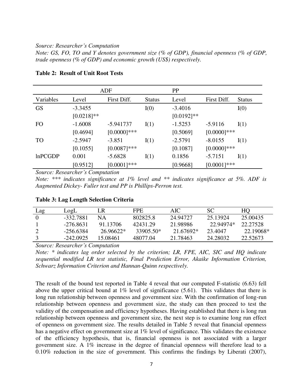#### *Source: Researcher's Computation*

*Note: GS, FO, TO and Y denotes government size (% of GDP), financial openness (% of GDP, trade openness (% of GDP) and economic growth (US\$) respectively.* 

|                |              | ADF            |               | PP            |                |               |
|----------------|--------------|----------------|---------------|---------------|----------------|---------------|
| Variables      | Level        | First Diff.    | <b>Status</b> | Level         | First Diff.    | <b>Status</b> |
| <b>GS</b>      | $-3.3455$    |                | I(0)          | $-3.4016$     |                | I(0)          |
|                | $[0.0218]**$ |                |               | $[0.0192]$ ** |                |               |
| FO             | $-1.6008$    | $-5.941737$    | I(1)          | $-1.5253$     | $-5.9116$      | I(1)          |
|                | [0.4694]     | $[0.0000]$ *** |               | [0.5069]      | $[0.0000]$ *** |               |
| <b>TO</b>      | $-2.5947$    | $-3.851$       | I(1)          | $-2.5791$     | $-8.0155$      | I(1)          |
|                | [0.1055]     | $[0.0087]$ *** |               | [0.1087]      | $[0.0000]$ *** |               |
| <b>InPCGDP</b> | 0.001        | $-5.6828$      | I(1)          | 0.1856        | $-5.7151$      | I(1)          |
|                | [0.9512]     | $[0.0001]$ *** |               | [0.9668]      | $[0.0001]***$  |               |

# **Table 2: Result of Unit Root Tests**

*Source: Researcher's Computation*

*Note: \*\*\* indicates significance at 1% level and \*\* indicates significance at 5%. ADF is Augmented Dickey- Fuller test and PP is Phillips-Perron test.* 

| Lag      | LogL        | LR.         | FPE.      | AIC.      | SC.       | HО        |
|----------|-------------|-------------|-----------|-----------|-----------|-----------|
| $\Omega$ | -332.7881   | NА          | 802825.8  | 24.94727  | 25.13924  | 25.00435  |
|          | $-276.8631$ | 91.13706    | 42431.29  | 21.98986  | 22.94974* | 22.27528  |
|          | $-256.6384$ | $26.96622*$ | 33905.50* | 21.67692* | 23.4047   | 22.19068* |
|          | $-242.0925$ | 15 08461    | 48077.04  | 21.78463  | 24.28032  | 22.52673  |

# **Table 3: Lag Length Selection Criteria**

*Source: Researcher's Computation*

*Note: \* indicates lag order selected by the criterion; LR, FPE, AIC, SIC and HQ indicate sequential modified LR test statistic, Final Prediction Error, Akaike Information Criterion, Schwarz Information Criterion and Hannan-Quinn respectively.* 

The result of the bound test reported in Table 4 reveal that our computed F-statistic (6.63) fell above the upper critical bound at 1% level of significance (5.61). This validates that there is long run relationship between openness and government size. With the confirmation of long-run relationship between openness and government size, the study can then proceed to test the validity of the compensation and efficiency hypotheses. Having established that there is long run relationship between openness and government size, the next step is to examine long run effect of openness on government size. The results detailed in Table 5 reveal that financial openness has a negative effect on government size at 1% level of significance. This validates the existence of the efficiency hypothesis, that is, financial openness is not associated with a larger government size. A 1% increase in the degree of financial openness will therefore lead to a 0.10% reduction in the size of government. This confirms the findings by Liberati (2007),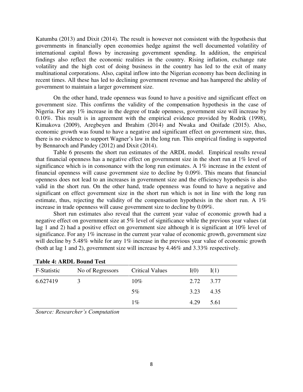Katumba (2013) and Dixit (2014). The result is however not consistent with the hypothesis that governments in financially open economies hedge against the well documented volatility of international capital flows by increasing government spending. In addition, the empirical findings also reflect the economic realities in the country. Rising inflation, exchange rate volatility and the high cost of doing business in the country has led to the exit of many multinational corporations. Also, capital inflow into the Nigerian economy has been declining in recent times. All these has led to declining government revenue and has hampered the ability of government to maintain a larger government size.

 On the other hand, trade openness was found to have a positive and significant effect on government size. This confirms the validity of the compensation hypothesis in the case of Nigeria. For any 1% increase in the degree of trade openness, government size will increase by 0.10%. This result is in agreement with the empirical evidence provided by Rodrik (1998), Kimakova (2009), Aregbeyen and Ibrahim (2014) and Nwaka and Onifade (2015). Also, economic growth was found to have a negative and significant effect on government size, thus, there is no evidence to support Wagner's law in the long run. This empirical finding is supported by Bennaroch and Pandey (2012) and Dixit (2014).

 Table 6 presents the short run estimates of the ARDL model. Empirical results reveal that financial openness has a negative effect on government size in the short run at 1% level of significance which is in consonance with the long run estimates. A 1% increase in the extent of financial openness will cause government size to decline by 0.09%. This means that financial openness does not lead to an increases in government size and the efficiency hypothesis is also valid in the short run. On the other hand, trade openness was found to have a negative and significant on effect government size in the short run which is not in line with the long run estimate, thus, rejecting the validity of the compensation hypothesis in the short run. A 1% increase in trade openness will cause government size to decline by 0.09%.

 Short run estimates also reveal that the current year value of economic growth had a negative effect on government size at 5% level of significance while the previous year values (at lag 1 and 2) had a positive effect on government size although it is significant at 10% level of significance. For any 1% increase in the current year value of economic growth, government size will decline by 5.48% while for any 1% increase in the previous year value of economic growth (both at lag 1 and 2), government size will increase by 4.46% and 3.33% respectively.

| тамс тетатого родна тем |                  |                        |      |      |
|-------------------------|------------------|------------------------|------|------|
| F-Statistic             | No of Regressors | <b>Critical Values</b> | I(0) | I(1) |
| 6.627419                |                  | $10\%$                 | 2.72 | 3.77 |
|                         |                  | $5\%$                  | 3.23 | 4.35 |
|                         |                  | $1\%$                  | 4.29 | 5.61 |
|                         |                  |                        |      |      |

| <b>Table 4: ARDL Bound Test</b> |  |  |  |
|---------------------------------|--|--|--|
|---------------------------------|--|--|--|

*Source: Researcher's Computation*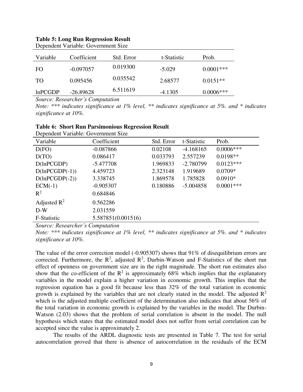# **Table 5: Long Run Regression Result**

| Variable | Coefficient | Std. Error | t-Statistic | Prob.       |
|----------|-------------|------------|-------------|-------------|
| FO.      | $-0.097057$ | 0.019300   | $-5.029$    | $0.0001***$ |
| TO.      | 0.095456    | 0.035542   | 2.68577     | $0.0151**$  |
| lnPCGDP  | $-26.89628$ | 6.511619   | $-4.1305$   | $0.0006***$ |

Dependent Variable: Government Size

*Source: Researcher's Computation*

*Note: \*\*\* indicates significance at 1% level, \*\* indicates significance at 5%. and \* indicates significance at 10%.* 

| Dependent Variable: Government Size |                    |            |             |             |
|-------------------------------------|--------------------|------------|-------------|-------------|
| Variable                            | Coefficient        | Std. Error | t-Statistic | Prob.       |
| D(FO)                               | $-0.087866$        | 0.02108    | $-4.168165$ | $0.0006***$ |
| D(TO)                               | 0.086417           | 0.033793   | 2.557239    | $0.0198**$  |
| D(lnPCGDP)                          | $-5.477708$        | 1.969833   | $-2.780799$ | $0.0123***$ |
| $D(lnPCGDP(-1))$                    | 4.459723           | 2.323148   | 1.919689    | $0.0709*$   |
| $D(lnPCGDP(-2))$                    | 3.338745           | 1.869578   | 1.785828    | $0.0910*$   |
| $ECM(-1)$                           | $-0.905307$        | 0.180886   | $-5.004858$ | $0.0001***$ |
| $R^2$                               | 0.684846           |            |             |             |
| Adjusted $R^2$                      | 0.562286           |            |             |             |
| $D-W$                               | 2.031559           |            |             |             |
| F-Statistic                         | 5.587851(0.001516) |            |             |             |

|  | <b>Table 6: Short Run Parsimonious Regression Result</b> |  |
|--|----------------------------------------------------------|--|
|  |                                                          |  |

*Source: Researcher's Computation*

*Note: \*\*\* indicates significance at 1% level, \*\* indicates significance at 5%. and \* indicates significance at 10%.* 

The value of the error correction model (-0.905307) shows that 91% of disequilibrium errors are corrected. Furthermore, the  $\mathbb{R}^2$ , adjusted  $\mathbb{R}^2$ , Durbin-Watson and F-Statistics of the short run effect of openness on government size are in the right magnitude. The short run estimates also show that the co-efficient of the  $\mathbb{R}^2$  is approximately 68% which implies that the explanatory variables in the model explain a higher variation in economic growth. This implies that the regression equation has a good fit because less than 32% of the total variation in economic growth is explained by the variables that are not clearly stated in the model. The adjusted  $\mathbb{R}^2$ which is the adjusted multiple coefficient of the determination also indicates that about 56% of the total variation in economic growth is explained by the variables in the model. The Durbin-Watson (2.03) shows that the problem of serial correlation is absent in the model. The null hypothesis which states that the estimated model does not suffer from serial correlation can be accepted since the value is approximately 2.

 The results of the ARDL diagnostic tests are presented in Table 7. The test for serial autocorrelation proved that there is absence of autocorrelation in the residuals of the ECM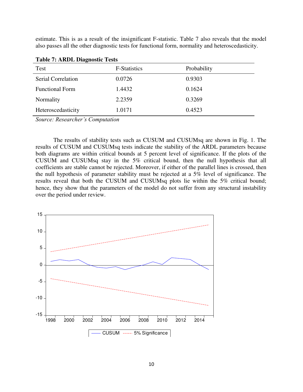estimate. This is as a result of the insignificant F-statistic. Table 7 also reveals that the model also passes all the other diagnostic tests for functional form, normality and heteroscedasticity.

| $=$ $\frac{1}{2}$ $\frac{1}{2}$ $\frac{1}{2}$ $\frac{1}{2}$ $\frac{1}{2}$ $\frac{1}{2}$ $\frac{1}{2}$ $\frac{1}{2}$ $\frac{1}{2}$ $\frac{1}{2}$ $\frac{1}{2}$ $\frac{1}{2}$ $\frac{1}{2}$ $\frac{1}{2}$ $\frac{1}{2}$ $\frac{1}{2}$ $\frac{1}{2}$ $\frac{1}{2}$ $\frac{1}{2}$ $\frac{1}{2}$ $\frac{1}{2}$ $\frac{1}{2$ |                     |             |  |  |
|------------------------------------------------------------------------------------------------------------------------------------------------------------------------------------------------------------------------------------------------------------------------------------------------------------------------|---------------------|-------------|--|--|
| Test                                                                                                                                                                                                                                                                                                                   | <b>F-Statistics</b> | Probability |  |  |
| Serial Correlation                                                                                                                                                                                                                                                                                                     | 0.0726              | 0.9303      |  |  |
| <b>Functional Form</b>                                                                                                                                                                                                                                                                                                 | 1.4432              | 0.1624      |  |  |
| Normality                                                                                                                                                                                                                                                                                                              | 2.2359              | 0.3269      |  |  |
| Heteroscedasticity                                                                                                                                                                                                                                                                                                     | 1.0171              | 0.4523      |  |  |

*Source: Researcher's Computation*

 The results of stability tests such as CUSUM and CUSUMsq are shown in Fig. 1. The results of CUSUM and CUSUMsq tests indicate the stability of the ARDL parameters because both diagrams are within critical bounds at 5 percent level of significance. If the plots of the CUSUM and CUSUMsq stay in the 5% critical bound, then the null hypothesis that all coefficients are stable cannot be rejected. Moreover, if either of the parallel lines is crossed, then the null hypothesis of parameter stability must be rejected at a 5% level of significance. The results reveal that both the CUSUM and CUSUMsq plots lie within the 5% critical bound; hence, they show that the parameters of the model do not suffer from any structural instability over the period under review.

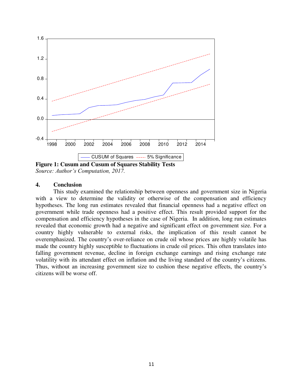

*Source: Author's Computation, 2017.*

# **4. Conclusion**

 This study examined the relationship between openness and government size in Nigeria with a view to determine the validity or otherwise of the compensation and efficiency hypotheses. The long run estimates revealed that financial openness had a negative effect on government while trade openness had a positive effect. This result provided support for the compensation and efficiency hypotheses in the case of Nigeria. In addition, long run estimates revealed that economic growth had a negative and significant effect on government size. For a country highly vulnerable to external risks, the implication of this result cannot be overemphasized. The country's over-reliance on crude oil whose prices are highly volatile has made the country highly susceptible to fluctuations in crude oil prices. This often translates into falling government revenue, decline in foreign exchange earnings and rising exchange rate volatility with its attendant effect on inflation and the living standard of the country's citizens. Thus, without an increasing government size to cushion these negative effects, the country's citizens will be worse off.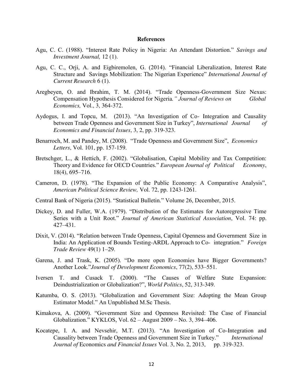#### **References**

- Agu, C. C. (1988). "Interest Rate Policy in Nigeria: An Attendant Distortion." *Savings and Investment Journal,* 12 (1).
- Agu, C. C., Orji, A. and Eigbiremolen, G. (2014). "Financial Liberalization, Interest Rate Structure and Savings Mobilization: The Nigerian Experience" *International Journal of Current Research* 6 (1).
- Aregbeyen, O. and Ibrahim, T. M. (2014). "Trade Openness-Government Size Nexus: Compensation Hypothesis Considered for Nigeria*." Journal of Reviews on Global Economics,* Vol., 3, 364-372.
- Aydogus, I. and Topcu, M. (2013). "An Investigation of Co- Integration and Causality between Trade Openness and Government Size in Turkey", *International Journal of Economics and Financial Issues*, 3, 2, pp. 319-323.
- Benarroch, M. and Pandey, M. (2008). "Trade Openness and Government Size", *Economics Letters*, Vol. 101, pp. 157-159.
- Bretschger, L., & Hettich, F. (2002). "Globalisation, Capital Mobility and Tax Competition: Theory and Evidence for OECD Countries." *European Journal of Political Economy*, 18(4), 695–716.
- Cameron, D. (1978). "The Expansion of the Public Economy: A Comparative Analysis", *American Political Science Review,* Vol. 72, pp. 1243-1261.
- Central Bank of Nigeria (2015). "Statistical Bulletin." Volume 26, December, 2015.
- Dickey, D. and Fuller, W.A. (1979). "Distribution of the Estimates for Autoregressive Time Series with a Unit Root." *Journal of American Statistical Association*, Vol. 74: pp. 427–431.
- Dixit, V. (2014). "Relation between Trade Openness, Capital Openness and Government Size in India: An Application of Bounds Testing-ARDL Approach to Co- integration." *Foreign Trade Review* 49(1) 1–29.
- Garena, J. and Trask, K. (2005). "Do more open Economies have Bigger Governments? Another Look."*Journal of Development Economics*, 77(2), 533–551.
- Iversen T. and Cusack T. (2000). "The Causes of Welfare State Expansion: Deindustrialization or Globalization?", *World Politics*, 52, 313-349.
- Katumba, O. S. (2013). "Globalization and Government Size: Adopting the Mean Group Estimator Model." An Unpublished M.Sc Thesis.
- Kimakova, A. (2009). "Government Size and Openness Revisited: The Case of Financial Globalization." KYKLOS, Vol. 62 – August 2009 – No. 3, 394–406.
- Kocatepe, I. A. and Nevsehir, M.T. (2013). "An Investigation of Co-Integration and Causality between Trade Openness and Government Size in Turkey." *International Journal of Economics and Financial Issues Vol. 3, No. 2, 2013, pp. 319-323.*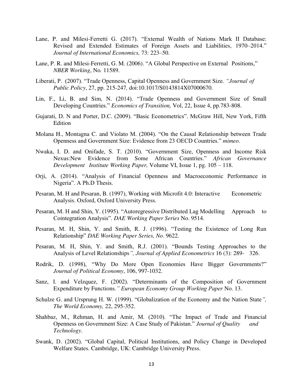- Lane, P. and Milesi-Ferretti G. (2017). "External Wealth of Nations Mark II Database: Revised and Extended Estimates of Foreign Assets and Liabilities, 1970–2014." *Journal of International Economics,* 73: 223–50.
- Lane, P. R. and Milesi-Ferretti, G. M. (2006). "A Global Perspective on External Positions," *NBER Working*, No*.* 11589.
- Liberati, P. (2007). "Trade Openness, Capital Openness and Government Size. *"Journal of Public Policy*, 27, pp. 215-247*,* doi:10.1017/S0143814X07000670.
- Lin, F., Li, B. and Sim, N. (2014). "Trade Openness and Government Size of Small Developing Countries." *Economics of Transition,* Vol, 22, Issue 4, pp.783-808.
- Gujarati, D. N and Porter, D.C. (2009). "Basic Econometrics". McGraw Hill, New York, Fifth Edition
- Molana H., Montagna C. and Violato M. (2004). "On the Causal Relationship between Trade Openness and Government Size: Evidence from 23 OECD Countries." *mimeo*.
- Nwaka, I. D. and Onifade, S. T. (2010). "Government Size, Openness and Income Risk Nexus:New Evidence from Some African Countries." *African Governance Development Institute Working Paper,* Volume VI, Issue 1, pg. 105 – 118.
- Orji, A. (2014). "Analysis of Financial Openness and Macroeconomic Performance in Nigeria". A Ph.D Thesis.
- Pesaran, M. H and Pesaran, B. (1997), Working with Microfit 4.0: Interactive Econometric Analysis. Oxford, Oxford University Press.
- Pesaran, M. H and Shin, Y. (1995). "Autoregressive Distributed Lag Modelling Approach to Cointegration Analysis". *DAE Working Paper Series* No. 9514.
- Pesaran, M. H, Shin, Y. and Smith, R. J. (1996). "Testing the Existence of Long Run Relationship" *DAE Working Paper Series, No*. 9622.
- Pesaran, M. H, Shin, Y. and Smith, R.J. (2001). "Bounds Testing Approaches to the Analysis of Level Relationships*", Journal of Applied Econometrics* 16 (3): 289- 326.
- Rodrik, D. (1998), "Why Do More Open Economies Have Bigger Governments?" *Journal of Political Economy*, 106, 997-1032.
- Sanz, I. and Velzquez, F. (2002). "Determinants of the Composition of Government Expenditure by Functions*." European Economy Group Working Paper* No. 13.
- Schulze G. and Ursprung H. W. (1999). "Globalization of the Economy and the Nation State*", The World Economy,* 22, 295-352.
- Shahbaz, M., Rehman, H. and Amir, M. (2010). "The Impact of Trade and Financial Openness on Government Size: A Case Study of Pakistan." *Journal of Quality and Technology*.
- Swank, D. (2002). "Global Capital, Political Institutions, and Policy Change in Developed Welfare States. Cambridge, UK: Cambridge University Press.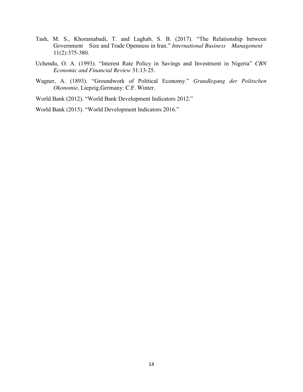- Tash, M. S., Khoramabadi, T. and Laghab, S. B. (2017). "The Relationship between Government Size and Trade Openness in Iran." *International Business Management*  11(2):375-380.
- Uchendu, O. A. (1993). "Interest Rate Policy in Savings and Investment in Nigeria" *CBN Economic and Financial Review* 31:13-25.
- Wagner, A. (1893). "Groundwork of Political Economy." *Grundlegung der Politschen Okonomie*, Liepzig,Germany: C.F. Winter.
- World Bank (2012). "World Bank Development Indicators 2012."

World Bank (2015). "World Development Indicators 2016."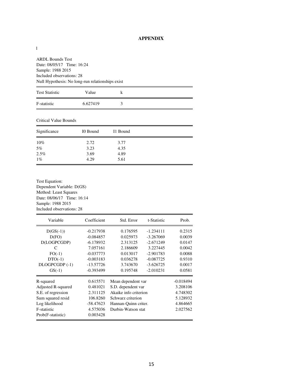# **APPENDIX**

ARDL Bounds Test Date: 08/05/17 Time: 16:24 Sample: 1988 2015 Included observations: 28 Null Hypothesis: No long-run relationships exist

| <b>Test Statistic</b> | Value    | k |  |
|-----------------------|----------|---|--|
| F-statistic           | 6.627419 |   |  |

Critical Value Bounds

| Significance | I0 Bound | I1 Bound |  |
|--------------|----------|----------|--|
| $10\%$       | 2.72     | 3.77     |  |
| 5%           | 3.23     | 4.35     |  |
| 2.5%         | 3.69     | 4.89     |  |
| $1\%$        | 4.29     | 5.61     |  |

Test Equation: Dependent Variable: D(GS) Method: Least Squares Date: 08/06/17 Time: 16:14 Sample: 1988 2015 Included observations: 28

| Variable                                                                                                                         | Coefficient                                                                         | Std. Error                                                                                                                           | t-Statistic | Prob.                                                                   |
|----------------------------------------------------------------------------------------------------------------------------------|-------------------------------------------------------------------------------------|--------------------------------------------------------------------------------------------------------------------------------------|-------------|-------------------------------------------------------------------------|
| $D(GS(-1))$                                                                                                                      | $-0.217938$                                                                         | 0.176595                                                                                                                             | $-1.234111$ | 0.2315                                                                  |
| D(FO)                                                                                                                            | $-0.084857$                                                                         | 0.025973                                                                                                                             | $-3.267069$ | 0.0039                                                                  |
| D(LOGPCGDP)                                                                                                                      | $-6.178932$                                                                         | 2.313125                                                                                                                             | $-2.671249$ | 0.0147                                                                  |
| C                                                                                                                                | 7.057161                                                                            | 2.186609                                                                                                                             | 3.227445    | 0.0042                                                                  |
| $FO(-1)$                                                                                                                         | $-0.037773$                                                                         | 0.013017                                                                                                                             | $-2.901783$ | 0.0088                                                                  |
| $DTO(-1)$                                                                                                                        | $-0.003183$                                                                         | 0.036278                                                                                                                             | $-0.087725$ | 0.9310                                                                  |
| DLOGPCGDP (-1)                                                                                                                   | $-13.57726$                                                                         | 3.743670                                                                                                                             | $-3.626725$ | 0.0017                                                                  |
| $GS(-1)$                                                                                                                         | $-0.393499$                                                                         | 0.195748                                                                                                                             | $-2.010231$ | 0.0581                                                                  |
| R-squared<br>Adjusted R-squared<br>S.E. of regression<br>Sum squared resid<br>Log likelihood<br>F-statistic<br>Prob(F-statistic) | 0.615571<br>0.481021<br>2.311125<br>106.8260<br>$-58.47623$<br>4.575036<br>0.003428 | Mean dependent var<br>S.D. dependent var<br>Akaike info criterion<br>Schwarz criterion<br>Hannan-Quinn criter.<br>Durbin-Watson stat |             | $-0.018494$<br>3.208106<br>4.748302<br>5.128932<br>4.864665<br>2.027562 |

1